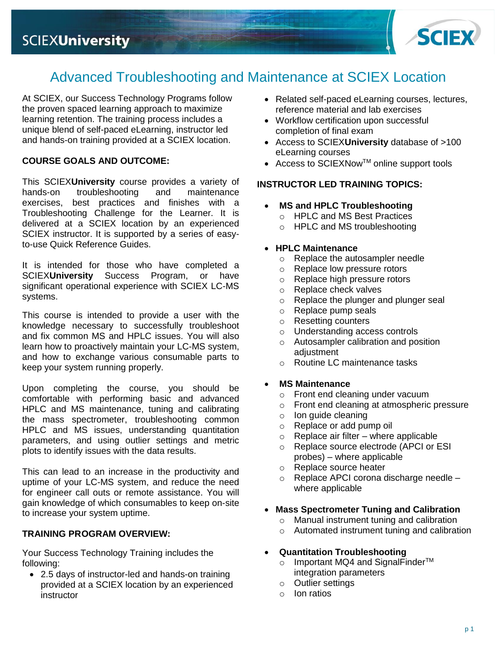

# Advanced Troubleshooting and Maintenance at SCIEX Location

At SCIEX, our Success Technology Programs follow the proven spaced learning approach to maximize learning retention. The training process includes a unique blend of self-paced eLearning, instructor led and hands-on training provided at a SCIEX location.

# **COURSE GOALS AND OUTCOME:**

This SCIEX**University** course provides a variety of hands-on troubleshooting and maintenance exercises, best practices and finishes with a Troubleshooting Challenge for the Learner. It is delivered at a SCIEX location by an experienced SCIEX instructor. It is supported by a series of easyto-use Quick Reference Guides.

It is intended for those who have completed a SCIEX**University** Success Program, or have significant operational experience with SCIEX LC-MS systems.

This course is intended to provide a user with the knowledge necessary to successfully troubleshoot and fix common MS and HPLC issues. You will also learn how to proactively maintain your LC-MS system, and how to exchange various consumable parts to keep your system running properly.

Upon completing the course, you should be comfortable with performing basic and advanced HPLC and MS maintenance, tuning and calibrating the mass spectrometer, troubleshooting common HPLC and MS issues, understanding quantitation parameters, and using outlier settings and metric plots to identify issues with the data results.

This can lead to an increase in the productivity and uptime of your LC-MS system, and reduce the need for engineer call outs or remote assistance. You will gain knowledge of which consumables to keep on-site to increase your system uptime.

# **TRAINING PROGRAM OVERVIEW:**

Your Success Technology Training includes the following:

• 2.5 days of instructor-led and hands-on training provided at a SCIEX location by an experienced instructor

- Related self-paced eLearning courses, lectures, reference material and lab exercises
- Workflow certification upon successful completion of final exam
- Access to SCIEX**University** database of >100 eLearning courses
- Access to SCIEXNowTM online support tools

# **INSTRUCTOR LED TRAINING TOPICS:**

- **MS and HPLC Troubleshooting**
	- o HPLC and MS Best Practices
	- o HPLC and MS troubleshooting

### • **HPLC Maintenance**

- o Replace the autosampler needle
- o Replace low pressure rotors
- o Replace high pressure rotors
- o Replace check valves
- o Replace the plunger and plunger seal
- o Replace pump seals
- o Resetting counters
- o Understanding access controls
- o Autosampler calibration and position adiustment
- o Routine LC maintenance tasks

# • **MS Maintenance**

- o Front end cleaning under vacuum
- o Front end cleaning at atmospheric pressure
- o Ion guide cleaning
- o Replace or add pump oil
- $\circ$  Replace air filter where applicable
- o Replace source electrode (APCI or ESI probes) – where applicable
- o Replace source heater
- o Replace APCI corona discharge needle where applicable

# • **Mass Spectrometer Tuning and Calibration**

- o Manual instrument tuning and calibration
- o Automated instrument tuning and calibration

### • **Quantitation Troubleshooting**

- o Important MQ4 and SignalFinder<sup>TM</sup> integration parameters
- o Outlier settings
- o Ion ratios